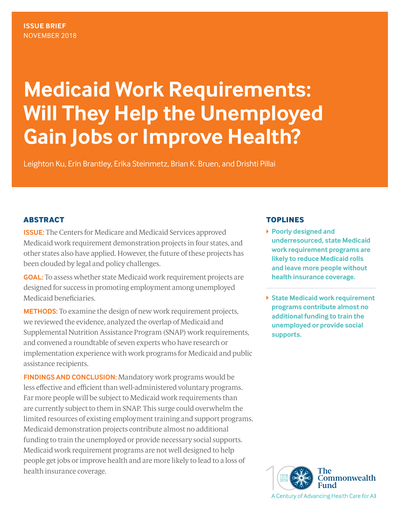# **Medicaid Work Requirements: Will They Help the Unemployed Gain Jobs or Improve Health?**

Leighton Ku, Erin Brantley, Erika Steinmetz, Brian K. Bruen, and Drishti Pillai

## **ABSTRACT**

**ISSUE:** The Centers for Medicare and Medicaid Services approved Medicaid work requirement demonstration projects in four states, and other states also have applied. However, the future of these projects has been clouded by legal and policy challenges.

**GOAL:** To assess whether state Medicaid work requirement projects are designed for success in promoting employment among unemployed Medicaid beneficiaries.

**METHODS:** To examine the design of new work requirement projects, we reviewed the evidence, analyzed the overlap of Medicaid and Supplemental Nutrition Assistance Program (SNAP) work requirements, and convened a roundtable of seven experts who have research or implementation experience with work programs for Medicaid and public assistance recipients.

**FINDINGS AND CONCLUSION:** Mandatory work programs would be less effective and efficient than well-administered voluntary programs. Far more people will be subject to Medicaid work requirements than are currently subject to them in SNAP. This surge could overwhelm the limited resources of existing employment training and support programs. Medicaid demonstration projects contribute almost no additional funding to train the unemployed or provide necessary social supports. Medicaid work requirement programs are not well designed to help people get jobs or improve health and are more likely to lead to a loss of health insurance coverage.

## **TOPLINES**

- **Poorly designed and underresourced, state Medicaid work requirement programs are likely to reduce Medicaid rolls and leave more people without health insurance coverage.**
- **State Medicaid work requirement programs contribute almost no additional funding to train the unemployed or provide social supports.**

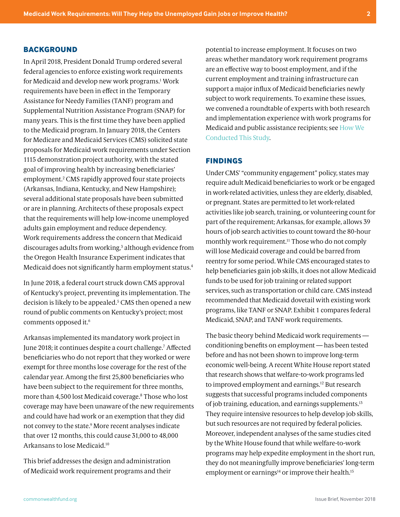#### <span id="page-1-0"></span>**BACKGROUND**

In April 2018, President Donald Trump ordered several federal agencies to enforce existing work requirements for Medicaid and develop new work programs.<sup>1</sup> Work requirements have been in effect in the Temporary Assistance for Needy Families (TANF) program and Supplemental Nutrition Assistance Program (SNAP) for many years. This is the first time they have been applied to the Medicaid program. In January 2018, the Centers for Medicare and Medicaid Services (CMS) solicited state proposals for Medicaid work requirements under Section 1115 demonstration project authority, with the stated goal of improving health by increasing beneficiaries' employment.[2](#page-7-0) CMS rapidly approved four state projects (Arkansas, Indiana, Kentucky, and New Hampshire); several additional state proposals have been submitted or are in planning. Architects of these proposals expect that the requirements will help low-income unemployed adults gain employment and reduce dependency. Work requirements address the concern that Medicaid discourages adults from working,<sup>3</sup> although evidence from the Oregon Health Insurance Experiment indicates that Medicaid does not significantly harm employment status[.4](#page-7-0)

In June 2018, a federal court struck down CMS approval of Kentucky's project, preventing its implementation. The decision is likely to be appealed.<sup>5</sup> CMS then opened a new round of public comments on Kentucky's project; most comments opposed it.<sup>6</sup>

Arkansas implemented its mandatory work project in June 2018; it continues despite a court challenge[.7](#page-7-0) Affected beneficiaries who do not report that they worked or were exempt for three months lose coverage for the rest of the calendar year. Among the first 25,800 beneficiaries who have been subject to the requirement for three months, more than 4,500 lost Medicaid coverage.[8](#page-7-0) Those who lost coverage may have been unaware of the new requirements and could have had work or an exemption that they did not convey to the state[.9](#page-7-0) More recent analyses indicate that over 12 months, this could cause 31,000 to 48,000 Arkansans to lose Medicaid[.10](#page-7-0)

This brief addresses the design and administration of Medicaid work requirement programs and their potential to increase employment. It focuses on two areas: whether mandatory work requirement programs are an effective way to boost employment, and if the current employment and training infrastructure can support a major influx of Medicaid beneficiaries newly subject to work requirements. To examine these issues, we convened a roundtable of experts with both research and implementation experience with work programs for Medicaid and public assistance recipients; see [How We](#page-6-0)  [Conducted This Study](#page-6-0).

#### **FINDINGS**

Under CMS' "community engagement" policy, states may require adult Medicaid beneficiaries to work or be engaged in work-related activities, unless they are elderly, disabled, or pregnant. States are permitted to let work-related activities like job search, training, or volunteering count for part of the requirement; Arkansas, for example, allows 39 hours of job search activities to count toward the 80-hour monthly work requirement.<sup>11</sup> Those who do not comply will lose Medicaid coverage and could be barred from reentry for some period. While CMS encouraged states to help beneficiaries gain job skills, it does not allow Medicaid funds to be used for job training or related support services, such as transportation or child care. CMS instead recommended that Medicaid dovetail with existing work programs, like TANF or SNAP. Exhibit 1 compares federal Medicaid, SNAP, and TANF work requirements.

The basic theory behind Medicaid work requirements conditioning benefits on employment — has been tested before and has not been shown to improve long-term economic well-being. A recent White House report stated that research shows that welfare-to-work programs led to improved employment and earnings.<sup>12</sup> But research suggests that successful programs included components of job training, education, and earnings supplements[.13](#page-7-0) They require intensive resources to help develop job skills, but such resources are not required by federal policies. Moreover, independent analyses of the same studies cited by the White House found that while welfare-to-work programs may help expedite employment in the short run, they do not meaningfully improve beneficiaries' long-term employment or earnings<sup>14</sup> or improve their health.<sup>15</sup>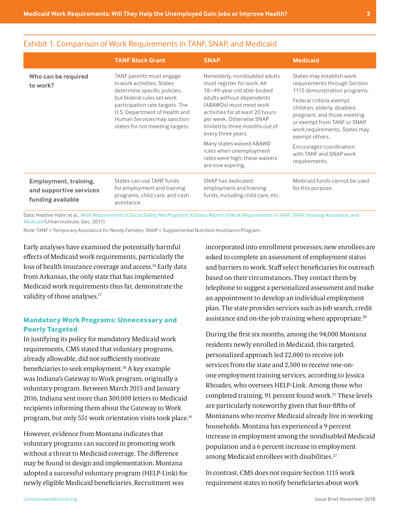|                                                                       | <b>TANF Block Grant</b>                                                                                                                                                                                                                                    | <b>SNAP</b>                                                                                                                                                                                                                                                                                                                                                                               | <b>Medicaid</b>                                                                                                                                                                                                                                                                                                                              |
|-----------------------------------------------------------------------|------------------------------------------------------------------------------------------------------------------------------------------------------------------------------------------------------------------------------------------------------------|-------------------------------------------------------------------------------------------------------------------------------------------------------------------------------------------------------------------------------------------------------------------------------------------------------------------------------------------------------------------------------------------|----------------------------------------------------------------------------------------------------------------------------------------------------------------------------------------------------------------------------------------------------------------------------------------------------------------------------------------------|
| Who can be required<br>to work?                                       | TANF parents must engage<br>in work activities. States<br>determine specific policies,<br>but federal rules set work<br>participation rate targets. The<br>U.S. Department of Health and<br>Human Services may sanction<br>states for not meeting targets. | Nonelderly, nondisabled adults<br>must register for work. All<br>18-49-year-old able-bodied<br>adults without dependents<br>(ABAWDs) must meet work<br>activities for at least 20 hours<br>per week. Otherwise SNAP<br>limited to three months out of<br>every three years.<br>Many states waived ABAWD<br>rules when unemployment<br>rates were high; these waivers<br>are now expiring. | States may establish work<br>requirements through Section<br>1115 demonstration programs.<br>Federal criteria exempt<br>children, elderly, disabled,<br>pregnant, and those meeting<br>or exempt from TANF or SNAP<br>work requirements. States may<br>exempt others.<br>Encourages coordination<br>with TANF and SNAP work<br>requirements. |
| Employment, training,<br>and supportive services<br>funding available | States can use TANF funds<br>for employment and training<br>programs, child care, and cash<br>assistance.                                                                                                                                                  | SNAP has dedicated<br>employment and training<br>funds, including child care, etc.                                                                                                                                                                                                                                                                                                        | Medicaid funds cannot be used<br>for this purpose.                                                                                                                                                                                                                                                                                           |

## <span id="page-2-0"></span>Exhibit 1. Comparison of Work Requirements in TANF, SNAP, and Medicaid

Data: Heather Hahn et al., *[Work Requirements in Social Safety Net Programs: A Status Report of Work Requirements in TANF, SNAP, Housing Assistance, and](https://www.urban.org/research/publication/work-requirements-social-safety-net-programs-status-report-work-requirements-tanf-snap-housing-assistance-and-medicaid)  [Medicaid](https://www.urban.org/research/publication/work-requirements-social-safety-net-programs-status-report-work-requirements-tanf-snap-housing-assistance-and-medicaid)* (Urban Institute, Dec. 2017).

Note: TANF = Temporary Assistance for Needy Families; SNAP = Supplemental Nutrition Assistance Program.

Early analyses have examined the potentially harmful effects of Medicaid work requirements, particularly the loss of health insurance coverage and access.<sup>16</sup> Early data from Arkansas, the only state that has implemented Medicaid work requirements thus far, demonstrate the validity of those analyses.<sup>17</sup>

## **Mandatory Work Programs: Unnecessary and Poorly Targeted**

In justifying its policy for mandatory Medicaid work requirements, CMS stated that voluntary programs, already allowable, did not sufficiently motivate beneficiaries to seek employment[.18](#page-8-0) A key example was Indiana's Gateway to Work program, originally a voluntary program. Between March 2015 and January 2016, Indiana sent more than 300,000 letters to Medicaid recipients informing them about the Gateway to Work program, but only 551 work orientation visits took place[.19](#page-8-0)

However, evidence from Montana indicates that voluntary programs can succeed in promoting work without a threat to Medicaid coverage. The difference may be found in design and implementation. Montana adopted a successful voluntary program (HELP-Link) for newly eligible Medicaid beneficiaries. Recruitment was

incorporated into enrollment processes; new enrollees are asked to complete an assessment of employment status and barriers to work. Staff select beneficiaries for outreach based on their circumstances. They contact them by telephone to suggest a personalized assessment and make an appointment to develop an individual employment plan. The state provides services such as job search, credit assistance and on-the-job training where appropriate[.20](#page-8-0)

During the first six months, among the 94,000 Montana residents newly enrolled in Medicaid, this targeted, personalized approach led 22,000 to receive job services from the state and 2,500 to receive one-onone employment training services, according to Jessica Rhoades, who oversees HELP-Link. Among those who completed training, 91 percent found work.<sup>21</sup> These levels are particularly noteworthy given that four-fifths of Montanans who receive Medicaid already live in working households. Montana has experienced a 9 percent increase in employment among the nondisabled Medicaid population and a 6 percent increase in employment among Medicaid enrollees with disabilities. [22](#page-8-0)

In contrast, CMS does not require Section 1115 work requirement states to notify beneficiaries about work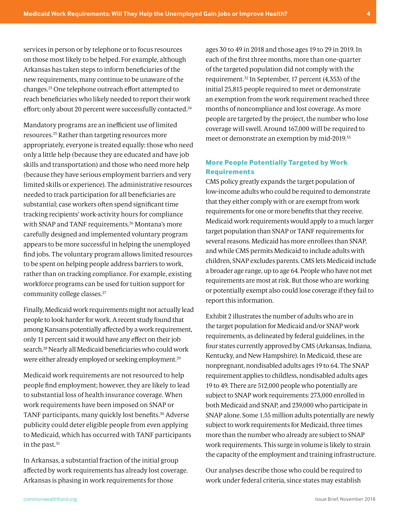<span id="page-3-0"></span>services in person or by telephone or to focus resources on those most likely to be helped. For example, although Arkansas has taken steps to inform beneficiaries of the new requirements, many continue to be unaware of the changes.[23](#page-8-0) One telephone outreach effort attempted to reach beneficiaries who likely needed to report their work effort; only about 20 percent were successfully contacted.<sup>24</sup>

Mandatory programs are an inefficient use of limited resources[.25](#page-8-0) Rather than targeting resources more appropriately, everyone is treated equally: those who need only a little help (because they are educated and have job skills and transportation) and those who need more help (because they have serious employment barriers and very limited skills or experience). The administrative resources needed to track participation for all beneficiaries are substantial; case workers often spend significant time tracking recipients' work-activity hours for compliance with SNAP and TANF requirements.<sup>[26](#page-8-0)</sup> Montana's more carefully designed and implemented voluntary program appears to be more successful in helping the unemployed find jobs. The voluntary program allows limited resources to be spent on helping people address barriers to work, rather than on tracking compliance. For example, existing workforce programs can be used for tuition support for community college classes.<sup>[27](#page-8-0)</sup>

Finally, Medicaid work requirements might not actually lead people to look harder for work. A recent study found that among Kansans potentially affected by a work requirement, only 11 percent said it would have any effect on their job search[.28](#page-8-0) Nearly all Medicaid beneficiaries who could work were either already employed or seeking employment.[29](#page-8-0)

Medicaid work requirements are not resourced to help people find employment; however, they are likely to lead to substantial loss of health insurance coverage. When work requirements have been imposed on SNAP or TANF participants, many quickly lost benefits.[30](#page-8-0) Adverse publicity could deter eligible people from even applying to Medicaid, which has occurred with TANF participants in the past.<sup>[31](#page-8-0)</sup>

In Arkansas, a substantial fraction of the initial group affected by work requirements has already lost coverage. Arkansas is phasing in work requirements for those

ages 30 to 49 in 2018 and those ages 19 to 29 in 2019. In each of the first three months, more than one-quarter of the targeted population did not comply with the requirement.[32](#page-8-0) In September, 17 percent (4,353) of the initial 25,815 people required to meet or demonstrate an exemption from the work requirement reached three months of noncompliance and lost coverage. As more people are targeted by the project, the number who lose coverage will swell. Around 167,000 will be required to meet or demonstrate an exemption by mid-2019.<sup>[33](#page-8-0)</sup>

## **More People Potentially Targeted by Work Requirements**

CMS policy greatly expands the target population of low-income adults who could be required to demonstrate that they either comply with or are exempt from work requirements for one or more benefits that they receive. Medicaid work requirements would apply to a much larger target population than SNAP or TANF requirements for several reasons. Medicaid has more enrollees than SNAP, and while CMS permits Medicaid to include adults with children, SNAP excludes parents. CMS lets Medicaid include a broader age range, up to age 64. People who have not met requirements are most at risk. But those who are working or potentially exempt also could lose coverage if they fail to report this information.

Exhibit 2 illustrates the number of adults who are in the target population for Medicaid and/or SNAP work requirements, as delineated by federal guidelines, in the four states currently approved by CMS (Arkansas, Indiana, Kentucky, and New Hampshire). In Medicaid, these are nonpregnant, nondisabled adults ages 19 to 64. The SNAP requirement applies to childless, nondisabled adults ages 19 to 49. There are 512,000 people who potentially are subject to SNAP work requirements: 273,000 enrolled in both Medicaid and SNAP, and 239,000 who participate in SNAP alone. Some 1.55 million adults potentially are newly subject to work requirements for Medicaid, three times more than the number who already are subject to SNAP work requirements. This surge in volume is likely to strain the capacity of the employment and training infrastructure.

Our analyses describe those who could be required to work under federal criteria, since states may establish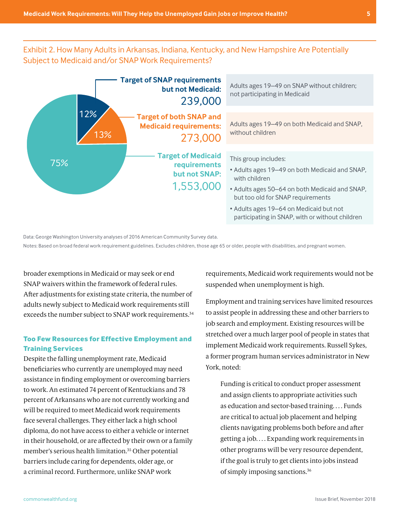## <span id="page-4-0"></span>-<br>Exhibit 2. How Many Adults in Arkansas, Indiana, Kentucky, and New Hampshire Are Potentially Subject to Medicaid and/or SNAP Work Requirements?



Data: George Washington University analyses of 2016 American Community Survey data.

Notes: Based on broad federal work requirement guidelines. Excludes children, those age 65 or older, people with disabilities, and pregnant women.

broader exemptions in Medicaid or may seek or end SNAP waivers within the framework of federal rules. After adjustments for existing state criteria, the number of adults newly subject to Medicaid work requirements still exceeds the number subject to SNAP work requirements.<sup>[34](#page-8-0)</sup>

## **Too Few Resources for Effective Employment and Training Services**

Despite the falling unemployment rate, Medicaid beneficiaries who currently are unemployed may need assistance in finding employment or overcoming barriers to work. An estimated 74 percent of Kentuckians and 78 percent of Arkansans who are not currently working and will be required to meet Medicaid work requirements face several challenges. They either lack a high school diploma, do not have access to either a vehicle or internet in their household, or are affected by their own or a family member's serious health limitation.[35](#page-9-0) Other potential barriers include caring for dependents, older age, or a criminal record. Furthermore, unlike SNAP work

icaid or may seek or end state or all requirements, Medicaid work requirements would not be the Unemployed Stat suspended when unemployment is high.

> Employment and training services have limited resources to assist people in addressing these and other barriers to job search and employment. Existing resources will be stretched over a much larger pool of people in states that implement Medicaid work requirements. Russell Sykes, a former program human services administrator in New York, noted:

Funding is critical to conduct proper assessment and assign clients to appropriate activities such as education and sector-based training. . . . Funds are critical to actual job placement and helping clients navigating problems both before and after getting a job. . . . Expanding work requirements in other programs will be very resource dependent, if the goal is truly to get clients into jobs instead of simply imposing sanctions[.36](#page-9-0)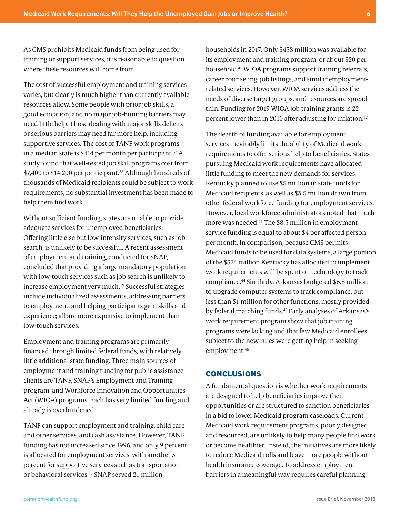<span id="page-5-0"></span>As CMS prohibits Medicaid funds from being used for training or support services, it is reasonable to question where these resources will come from.

The cost of successful employment and training services varies, but clearly is much higher than currently available resources allow. Some people with prior job skills, a good education, and no major job-hunting barriers may need little help. Those dealing with major skills deficits or serious barriers may need far more help, including supportive services. The cost of TANF work programs in a median state is \$414 per month per participant.<sup>[37](#page-9-0)</sup> A study found that well-tested job skill programs cost from \$7,400 to \$14,200 per participant.<sup>[38](#page-9-0)</sup> Although hundreds of thousands of Medicaid recipients could be subject to work requirements, no substantial investment has been made to help them find work.

Without sufficient funding, states are unable to provide adequate services for unemployed beneficiaries. Offering little else but low-intensity services, such as job search, is unlikely to be successful. A recent assessment of employment and training, conducted for SNAP, concluded that providing a large mandatory population with low-touch services such as job search is unlikely to increase employment very much.<sup>[39](#page-9-0)</sup> Successful strategies include individualized assessments, addressing barriers to employment, and helping participants gain skills and experience; all are more expensive to implement than low-touch services.

Employment and training programs are primarily financed through limited federal funds, with relatively little additional state funding. Three main sources of employment and training funding for public assistance clients are TANF, SNAP's Employment and Training program, and Workforce Innovation and Opportunities Act (WIOA) programs. Each has very limited funding and already is overburdened.

TANF can support employment and training, child care and other services, and cash assistance. However, TANF funding has not increased since 1996, and only 9 percent is allocated for employment services, with another 3 percent for supportive services such as transportation or behavioral services.[40](#page-9-0) SNAP served 21 million

households in 2017. Only \$438 million was available for its employment and training program, or about \$20 per household.[41](#page-9-0) WIOA programs support training referrals, career counseling, job listings, and similar employmentrelated services. However, WIOA services address the needs of diverse target groups, and resources are spread thin. Funding for 2019 WIOA job training grants is 22 percent lower than in 2010 after adjusting for inflation.[42](#page-9-0)

The dearth of funding available for employment services inevitably limits the ability of Medicaid work requirements to offer serious help to beneficiaries. States pursuing Medicaid work requirements have allocated little funding to meet the new demands for services. Kentucky planned to use \$5 million in state funds for Medicaid recipients, as well as \$3.5 million drawn from other federal workforce funding for employment services. However, local workforce administrators noted that much more was needed.[43](#page-9-0) The \$8.5 million in employment service funding is equal to about \$4 per affected person per month. In comparison, because CMS permits Medicaid funds to be used for data systems, a large portion of the \$374 million Kentucky has allocated to implement work requirements will be spent on technology to track compliance[.44](#page-9-0) Similarly, Arkansas budgeted \$6.8 million to upgrade computer systems to track compliance, but less than \$1 million for other functions, mostly provided by federal matching funds.[45](#page-9-0) Early analyses of Arkansas's work requirement program show that job training programs were lacking and that few Medicaid enrollees subject to the new rules were getting help in seeking employment.[46](#page-9-0)

#### **CONCLUSIONS**

A fundamental question is whether work requirements are designed to help beneficiaries improve their opportunities or are structured to sanction beneficiaries in a bid to lower Medicaid program caseloads. Current Medicaid work requirement programs, poorly designed and resourced, are unlikely to help many people find work or become healthier. Instead, the initiatives are more likely to reduce Medicaid rolls and leave more people without health insurance coverage. To address employment barriers in a meaningful way requires careful planning,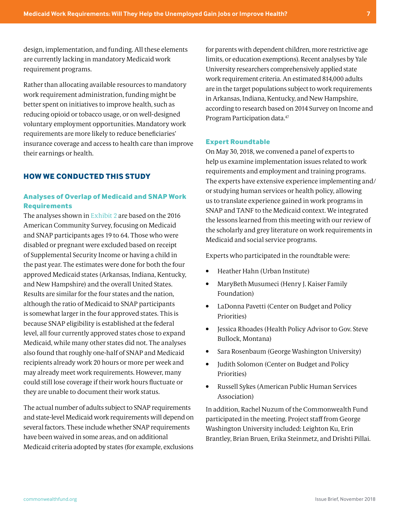<span id="page-6-0"></span>design, implementation, and funding. All these elements are currently lacking in mandatory Medicaid work requirement programs.

Rather than allocating available resources to mandatory work requirement administration, funding might be better spent on initiatives to improve health, such as reducing opioid or tobacco usage, or on well-designed voluntary employment opportunities. Mandatory work requirements are more likely to reduce beneficiaries' insurance coverage and access to health care than improve their earnings or health.

## **HOW WE CONDUCTED THIS STUDY**

### **Analyses of Overlap of Medicaid and SNAP Work Requirements**

The analyses shown in [Exhibit 2](#page-4-0) are based on the 2016 American Community Survey, focusing on Medicaid and SNAP participants ages 19 to 64. Those who were disabled or pregnant were excluded based on receipt of Supplemental Security Income or having a child in the past year. The estimates were done for both the four approved Medicaid states (Arkansas, Indiana, Kentucky, and New Hampshire) and the overall United States. Results are similar for the four states and the nation, although the ratio of Medicaid to SNAP participants is somewhat larger in the four approved states. This is because SNAP eligibility is established at the federal level, all four currently approved states chose to expand Medicaid, while many other states did not. The analyses also found that roughly one-half of SNAP and Medicaid recipients already work 20 hours or more per week and may already meet work requirements. However, many could still lose coverage if their work hours fluctuate or they are unable to document their work status.

The actual number of adults subject to SNAP requirements and state-level Medicaid work requirements will depend on several factors. These include whether SNAP requirements have been waived in some areas, and on additional Medicaid criteria adopted by states (for example, exclusions

for parents with dependent children, more restrictive age limits, or education exemptions). Recent analyses by Yale University researchers comprehensively applied state work requirement criteria. An estimated 814,000 adults are in the target populations subject to work requirements in Arkansas, Indiana, Kentucky, and New Hampshire, according to research based on 2014 Survey on Income and Program Participation data[.47](#page-9-0)

#### **Expert Roundtable**

On May 30, 2018, we convened a panel of experts to help us examine implementation issues related to work requirements and employment and training programs. The experts have extensive experience implementing and/ or studying human services or health policy, allowing us to translate experience gained in work programs in SNAP and TANF to the Medicaid context. We integrated the lessons learned from this meeting with our review of the scholarly and grey literature on work requirements in Medicaid and social service programs.

Experts who participated in the roundtable were:

- Heather Hahn (Urban Institute)
- MaryBeth Musumeci (Henry J. Kaiser Family Foundation)
- LaDonna Pavetti (Center on Budget and Policy Priorities)
- Jessica Rhoades (Health Policy Advisor to Gov. Steve Bullock, Montana)
- Sara Rosenbaum (George Washington University)
- Judith Solomon (Center on Budget and Policy Priorities)
- Russell Sykes (American Public Human Services Association)

In addition, Rachel Nuzum of the Commonwealth Fund participated in the meeting. Project staff from George Washington University included: Leighton Ku, Erin Brantley, Brian Bruen, Erika Steinmetz, and Drishti Pillai.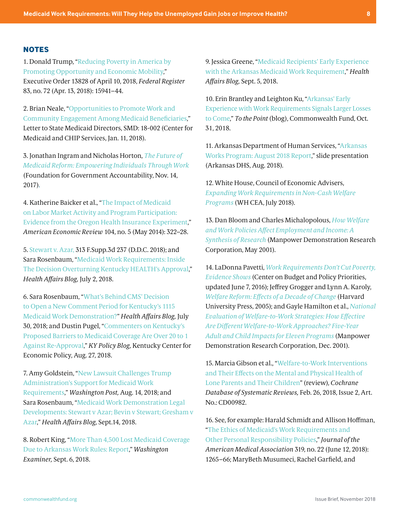#### <span id="page-7-0"></span>**NOTES**

[1.](#page-1-0) Donald Trump, ["Reducing Poverty in America by](https://www.federalregister.gov/documents/2018/04/13/2018-07874/reducing-poverty-in-america-by-promoting-opportunity-and-economic-mobility)  [Promoting Opportunity and Economic Mobility](https://www.federalregister.gov/documents/2018/04/13/2018-07874/reducing-poverty-in-america-by-promoting-opportunity-and-economic-mobility)," Executive Order 13828 of April 10, 2018, *Federal Register* 83, no. 72 (Apr. 13, 2018): 15941–44.

[2](#page-1-0). Brian Neale, "[Opportunities to Promote Work and](https://www.medicaid.gov/federal-policy-guidance/downloads/smd18002.pdf)  [Community Engagement Among Medicaid Beneficiaries](https://www.medicaid.gov/federal-policy-guidance/downloads/smd18002.pdf)," Letter to State Medicaid Directors, SMD: 18-002 (Center for Medicaid and CHIP Services, Jan. 11, 2018).

[3](#page-1-0). Jonathan Ingram and Nicholas Horton, *[The Future of](https://thefga.org/research/future-medicaid-reform-empowering-individuals-work/)  [Medicaid Reform: Empowering Individuals Through Work](https://thefga.org/research/future-medicaid-reform-empowering-individuals-work/)* (Foundation for Government Accountability, Nov. 14, 2017).

[4](#page-1-0). Katherine Baicker et al., "[The Impact of Medicaid](http://www.aeaweb.org/articles?id=10.1257/aer.104.5.322)  [on Labor Market Activity and Program Participation:](http://www.aeaweb.org/articles?id=10.1257/aer.104.5.322)  [Evidence from the Oregon Health Insurance Experiment](http://www.aeaweb.org/articles?id=10.1257/aer.104.5.322)," *American Economic Review* 104, no. 5 (May 2014): 322–28.

[5](#page-1-0). [Stewart v. Azar,](https://ecf.dcd.uscourts.gov/cgi-bin/show_public_doc?2018cv0152-74) 313 F.Supp.3d 237 (D.D.C. 2018); and Sara Rosenbaum, ["Medicaid Work Requirements: Inside](https://www.healthaffairs.org/do/10.1377/hblog20180702.144007/full/)  [The Decision Overturning Kentucky HEALTH's Approval,](https://www.healthaffairs.org/do/10.1377/hblog20180702.144007/full/)" *Health Affairs Blog,* July 2, 2018.

[6](#page-1-0). Sara Rosenbaum, "[What's Behind CMS' Decision](https://www.healthaffairs.org/do/10.1377/hblog20180729.592498/full/)  [to Open a New Comment Period for Kentucky's 1115](https://www.healthaffairs.org/do/10.1377/hblog20180729.592498/full/)  [Medicaid Work Demonstration?](https://www.healthaffairs.org/do/10.1377/hblog20180729.592498/full/)" *Health Affairs Blog,* July 30, 2018; and Dustin Pugel, ["Commenters on Kentucky's](https://kypolicy.org/commenters-on-kentuckys-proposed-barriers-to-medicaid-coverage-are-over-20-to-1-against-re-approval/)  [Proposed Barriers to Medicaid Coverage Are Over 20 to 1](https://kypolicy.org/commenters-on-kentuckys-proposed-barriers-to-medicaid-coverage-are-over-20-to-1-against-re-approval/)  [Against Re-Approval](https://kypolicy.org/commenters-on-kentuckys-proposed-barriers-to-medicaid-coverage-are-over-20-to-1-against-re-approval/)," *KY Policy Blog,* Kentucky Center for Economic Policy, Aug. 27, 2018.

[7](#page-1-0). Amy Goldstein, "[New Lawsuit Challenges Trump](https://www.washingtonpost.com/national/health-science/new-lawsuit-challenges-trump-administrations-support-for-medicaid-work-requirements/2018/08/14/dde88462-9ff0-11e8-8e87-c869fe70a721_story.html?utm_term=.f31a2c5e9706)  [Administration's Support for Medicaid Work](https://www.washingtonpost.com/national/health-science/new-lawsuit-challenges-trump-administrations-support-for-medicaid-work-requirements/2018/08/14/dde88462-9ff0-11e8-8e87-c869fe70a721_story.html?utm_term=.f31a2c5e9706)  [Requirements,](https://www.washingtonpost.com/national/health-science/new-lawsuit-challenges-trump-administrations-support-for-medicaid-work-requirements/2018/08/14/dde88462-9ff0-11e8-8e87-c869fe70a721_story.html?utm_term=.f31a2c5e9706)" *Washington Post,* Aug. 14, 2018; and Sara Rosenbaum, ["Medicaid Work Demonstration Legal](https://www.healthaffairs.org/do/10.1377/hblog20180914.426396/full/)  [Developments: Stewart v Azar; Bevin v Stewart; Gresham v](https://www.healthaffairs.org/do/10.1377/hblog20180914.426396/full/)  [Azar,](https://www.healthaffairs.org/do/10.1377/hblog20180914.426396/full/)" *Health Affairs Blog,* Sept.14, 2018.

[8](#page-1-0). Robert King, ["More Than 4,500 Lost Medicaid Coverage](https://www.washingtonexaminer.com/policy/healthcare/more-than-4-500-lost-medicaid-coverage-due-to-arkansas-work-rules-report)  [Due to Arkansas Work Rules: Report](https://www.washingtonexaminer.com/policy/healthcare/more-than-4-500-lost-medicaid-coverage-due-to-arkansas-work-rules-report)," *Washington Examiner,* Sept. 6, 2018.

[9.](#page-1-0) Jessica Greene, "[Medicaid Recipients' Early Experience](https://www.healthaffairs.org/do/10.1377/hblog20180904.979085/full/)  [with the Arkansas Medicaid Work Requirement,](https://www.healthaffairs.org/do/10.1377/hblog20180904.979085/full/)" *Health Affairs Blog,* Sept. 5, 2018.

[10](#page-1-0). Erin Brantley and Leighton Ku, ["Arkansas' Early](https://www.commonwealthfund.org/blog/2018/arkansas-early-experience-work-requirements)  [Experience with Work Requirements Signals Larger Losses](https://www.commonwealthfund.org/blog/2018/arkansas-early-experience-work-requirements)  [to Come](https://www.commonwealthfund.org/blog/2018/arkansas-early-experience-work-requirements)," *To the Point* (blog), Commonwealth Fund, Oct. 31, 2018.

[11](#page-1-0). Arkansas Department of Human Services, ["Arkansas](https://ccf.georgetown.edu/wp-content/uploads/2018/09/091218_AWReport_Final.pdf)  [Works Program: August 2018 Report,](https://ccf.georgetown.edu/wp-content/uploads/2018/09/091218_AWReport_Final.pdf)" slide presentation (Arkansas DHS, Aug. 2018).

[12.](#page-1-0) White House, Council of Economic Advisers, *[Expanding Work Requirements in Non-Cash Welfare](https://www.whitehouse.gov/wp-content/uploads/2018/07/Expanding-Work-Requirements-in-Non-Cash-Welfare-Programs.pdf)  [Programs](https://www.whitehouse.gov/wp-content/uploads/2018/07/Expanding-Work-Requirements-in-Non-Cash-Welfare-Programs.pdf)* (WH CEA, July 2018).

[13.](#page-1-0) Dan Bloom and Charles Michalopolous, *[How Welfare](https://www.mdrc.org/sites/default/files/full_393.pdf)  [and Work Policies Affect Employment and Income: A](https://www.mdrc.org/sites/default/files/full_393.pdf)  [Synthesis of Research](https://www.mdrc.org/sites/default/files/full_393.pdf)* (Manpower Demonstration Research Corporation, May 2001).

[14.](#page-1-0) LaDonna Pavetti, *[Work Requirements Don't Cut Poverty,](https://www.cbpp.org/research/poverty-and-inequality/work-requirements-dont-cut-poverty-evidence-shows)  [Evidence Shows](https://www.cbpp.org/research/poverty-and-inequality/work-requirements-dont-cut-poverty-evidence-shows)* (Center on Budget and Policy Priorities, updated June 7, 2016); Jeffrey Grogger and Lynn A. Karoly, *[Welfare Reform: Effects of a Decade of Change](http://www.hup.harvard.edu/catalog.php?isbn=9780674018914)* (Harvard University Press, 2005); and Gayle Hamilton et al., *[National](https://www.mdrc.org/sites/default/files/full_391.pdf)  [Evaluation of Welfare-to-Work Strategies: How Effective](https://www.mdrc.org/sites/default/files/full_391.pdf)  [Are Different Welfare-to-Work Approaches? Five-Year](https://www.mdrc.org/sites/default/files/full_391.pdf)  [Adult and Child Impacts for Eleven Programs](https://www.mdrc.org/sites/default/files/full_391.pdf)* (Manpower Demonstration Research Corporation, Dec. 2001).

[15.](#page-1-0) Marcia Gibson et al., "[Welfare-to-Work Interventions](https://www.cochranelibrary.com/cdsr/doi/10.1002/14651858.CD009820.pub3/full)  [and Their Effects on the Mental and Physical Health of](https://www.cochranelibrary.com/cdsr/doi/10.1002/14651858.CD009820.pub3/full)  [Lone Parents and Their Children](https://www.cochranelibrary.com/cdsr/doi/10.1002/14651858.CD009820.pub3/full)" (review), *Cochrane Database of Systematic Reviews,* Feb. 26, 2018, Issue 2, Art. No.: CD00982.

[16.](#page-2-0) See, for example: Harald Schmidt and Allison Hoffman, ["The Ethics of Medicaid's Work Requirements and](https://jamanetwork.com/journals/jama/article-abstract/2681081)  [Other Personal Responsibility Policies](https://jamanetwork.com/journals/jama/article-abstract/2681081)," *Journal of the American Medical Association* 319, no. 22 (June 12, 2018): 1265–66; MaryBeth Musumeci, Rachel Garfield, and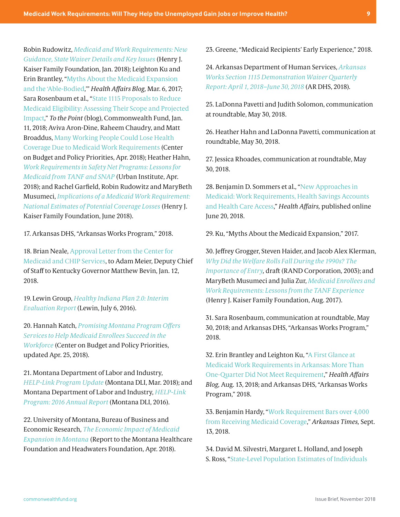<span id="page-8-0"></span>Robin Rudowitz, *[Medicaid and Work Requirements: New](https://www.kff.org/medicaid/issue-brief/medicaid-and-work-requirements-new-guidance-state-waiver-details-and-key-issues/)  [Guidance, State Waiver Details and Key Issues](https://www.kff.org/medicaid/issue-brief/medicaid-and-work-requirements-new-guidance-state-waiver-details-and-key-issues/)* (Henry J. Kaiser Family Foundation, Jan. 2018); Leighton Ku and Erin Brantley, ["Myths About the Medicaid Expansion](https://www.healthaffairs.org/do/10.1377/hblog20170306.059021/full/)  [and the 'Able-Bodied](https://www.healthaffairs.org/do/10.1377/hblog20170306.059021/full/),'" *Health Affairs Blog,* Mar. 6, 2017; Sara Rosenbaum et al., "[State 1115 Proposals to Reduce](http://www.commonwealthfund.org/publications/blog/2018/jan/state-1115-proposals-to-reduce-medicaid-eligibility)  [Medicaid Eligibility: Assessing Their Scope and Projected](http://www.commonwealthfund.org/publications/blog/2018/jan/state-1115-proposals-to-reduce-medicaid-eligibility)  [Impact,](http://www.commonwealthfund.org/publications/blog/2018/jan/state-1115-proposals-to-reduce-medicaid-eligibility)" *To the Point* (blog), Commonwealth Fund, Jan. 11, 2018; Aviva Aron-Dine, Raheem Chaudry, and Matt Broaddus, [Many Working People Could Lose Health](https://www.cbpp.org/research/health/many-working-people-could-lose-health-coverage-due-to-medicaid-work-requirements)  [Coverage Due to Medicaid Work Requirements](https://www.cbpp.org/research/health/many-working-people-could-lose-health-coverage-due-to-medicaid-work-requirements) (Center on Budget and Policy Priorities, Apr. 2018); Heather Hahn, *[Work Requirements in Safety Net Programs: Lessons for](https://www.urban.org/research/publication/work-requirements-safety-net-programs)  [Medicaid from TANF and SNAP](https://www.urban.org/research/publication/work-requirements-safety-net-programs)* (Urban Institute, Apr. 2018); and Rachel Garfield, Robin Rudowitz and MaryBeth Musumeci, *[Implications of a Medicaid Work Requirement:](http://files.kff.org/attachment/Issue-Brief-Implications-of-a-Medicaid-Work-Requirement-National-Estimates-of-Potential-Coverage-Losses)  [National Estimates of Potential Coverage Losses](http://files.kff.org/attachment/Issue-Brief-Implications-of-a-Medicaid-Work-Requirement-National-Estimates-of-Potential-Coverage-Losses)* (Henry J. Kaiser Family Foundation, June 2018).

[17](#page-2-0). Arkansas DHS, "Arkansas Works Program," 2018.

[18](#page-2-0). Brian Neale, [Approval Letter from the Center for](https://kaiserhealthnews.files.wordpress.com/2018/01/kentucky-1115-memo-and-approval-ltr.pdf)  [Medicaid and CHIP Services,](https://kaiserhealthnews.files.wordpress.com/2018/01/kentucky-1115-memo-and-approval-ltr.pdf) to Adam Meier, Deputy Chief of Staff to Kentucky Governor Matthew Bevin, Jan. 12, 2018.

[19.](#page-2-0) Lewin Group, *[Healthy Indiana Plan 2.0: Interim](https://www.in.gov/fssa/files/Lewin_IN%20HIP%202%200%20Interim%20Evaluation%20Report_FINAL.pdf)  [Evaluation Report](https://www.in.gov/fssa/files/Lewin_IN%20HIP%202%200%20Interim%20Evaluation%20Report_FINAL.pdf)* (Lewin, July 6, 2016).

[20.](#page-2-0) Hannah Katch, *[Promising Montana Program Offers](https://www.cbpp.org/research/health/promising-montana-program-offers-services-to-help-medicaid-enrollees-succeed-in-the)  [Services to Help Medicaid Enrollees Succeed in the](https://www.cbpp.org/research/health/promising-montana-program-offers-services-to-help-medicaid-enrollees-succeed-in-the)  [Workforce](https://www.cbpp.org/research/health/promising-montana-program-offers-services-to-help-medicaid-enrollees-succeed-in-the)* (Center on Budget and Policy Priorities, updated Apr. 25, 2018).

[21](#page-2-0). Montana Department of Labor and Industry, *[HELP-Link Program Update](https://dphhs.mt.gov/Portals/85/Documents/healthcare/March%202018%20HELP_Link_Fact_Sheet.pdf)* (Montana DLI, Mar. 2018); and Montana Department of Labor and Industry, *[HELP-Link](https://lmi.mt.gov/Portals/135/Publications/LMI-Pubs/Special%20Reports%20and%20Studies/HELP-Link%20Year%20End%20Report.pdf)  [Program: 2016 Annual Report](https://lmi.mt.gov/Portals/135/Publications/LMI-Pubs/Special%20Reports%20and%20Studies/HELP-Link%20Year%20End%20Report.pdf)* (Montana DLI, 2016).

[22.](#page-2-0) University of Montana, Bureau of Business and Economic Research, *[The Economic Impact of Medicaid](https://mthcf.org/wp-content/uploads/2018/04/BBER-MT-Medicaid-Expansion-Report_4.11.18.pdf)  [Expansion in Montana](https://mthcf.org/wp-content/uploads/2018/04/BBER-MT-Medicaid-Expansion-Report_4.11.18.pdf)* (Report to the Montana Healthcare Foundation and Headwaters Foundation, Apr. 2018).

[23.](#page-3-0) Greene, "Medicaid Recipients' Early Experience," 2018.

[24](#page-3-0). Arkansas Department of Human Services, *[Arkansas](https://www.medicaid.gov/Medicaid-CHIP-Program-Information/By-Topics/Waivers/1115/downloads/ar/Health-Care-Independence-Program-Private-Option/ar-works-qtrly-rpt-apr-jun-2018.pdf)  [Works Section 1115 Demonstration Waiver Quarterly](https://www.medicaid.gov/Medicaid-CHIP-Program-Information/By-Topics/Waivers/1115/downloads/ar/Health-Care-Independence-Program-Private-Option/ar-works-qtrly-rpt-apr-jun-2018.pdf)  [Report: April 1, 2018–June 30, 2018](https://www.medicaid.gov/Medicaid-CHIP-Program-Information/By-Topics/Waivers/1115/downloads/ar/Health-Care-Independence-Program-Private-Option/ar-works-qtrly-rpt-apr-jun-2018.pdf)* (AR DHS, 2018).

[25.](#page-3-0) LaDonna Pavetti and Judith Solomon, communication at roundtable, May 30, 2018.

[26.](#page-3-0) Heather Hahn and LaDonna Pavetti, communication at roundtable, May 30, 2018.

[27.](#page-3-0) Jessica Rhoades, communication at roundtable, May 30, 2018.

[28.](#page-3-0) Benjamin D. Sommers et al., "[New Approaches in](https://www.commonwealthfund.org/publications/journal-article/2018/jun/new-approaches-medicaid)  [Medicaid: Work Requirements, Health Savings Accounts](https://www.commonwealthfund.org/publications/journal-article/2018/jun/new-approaches-medicaid)  [and Health Care Access](https://www.commonwealthfund.org/publications/journal-article/2018/jun/new-approaches-medicaid)," *Health Affairs,* published online June 20, 2018.

[29](#page-3-0). Ku, "Myths About the Medicaid Expansion," 2017.

[30.](#page-3-0) Jeffrey Grogger, Steven Haider, and Jacob Alex Klerman, *[Why Did the Welfare Rolls Fall During the 1990s? The](https://www.rand.org/pubs/drafts/DRU3004.html)  [Importance of Entry,](https://www.rand.org/pubs/drafts/DRU3004.html)* draft (RAND Corporation, 2003); and MaryBeth Musumeci and Julia Zur, *[Medicaid Enrollees and](https://www.kff.org/medicaid/issue-brief/medicaid-enrollees-and-work-requirements-lessons-from-the-tanf-experience/)  [Work Requirements: Lessons from the TANF Experience](https://www.kff.org/medicaid/issue-brief/medicaid-enrollees-and-work-requirements-lessons-from-the-tanf-experience/)* (Henry J. Kaiser Family Foundation, Aug. 2017).

[31.](#page-3-0) Sara Rosenbaum, communication at roundtable, May 30, 2018; and Arkansas DHS, "Arkansas Works Program," 2018.

[32](#page-3-0). Erin Brantley and Leighton Ku, ["A First Glance at](https://www.healthaffairs.org/do/10.1377/hblog20180812.221535/full/)  [Medicaid Work Requirements in Arkansas: More Than](https://www.healthaffairs.org/do/10.1377/hblog20180812.221535/full/)  [One-Quarter Did Not Meet Requirement](https://www.healthaffairs.org/do/10.1377/hblog20180812.221535/full/)," *Health Affairs Blog,* Aug. 13, 2018; and Arkansas DHS, "Arkansas Works Program," 2018.

[33.](#page-3-0) Benjamin Hardy, "[Work Requirement Bars over 4,000](https://www.arktimes.com/arkansas/work-requirement-bars-over-4000-from-receiving-medicaid-coverage/Content?oid=23041407)  [from Receiving Medicaid Coverage](https://www.arktimes.com/arkansas/work-requirement-bars-over-4000-from-receiving-medicaid-coverage/Content?oid=23041407)," *Arkansas Times,* Sept. 13, 2018*.*

[34.](#page-4-0) David M. Silvestri, Margaret L. Holland, and Joseph S. Ross, "[State-Level Population Estimates of Individuals](https://jamanetwork.com/journals/jamainternalmedicine/article-abstract/2701628)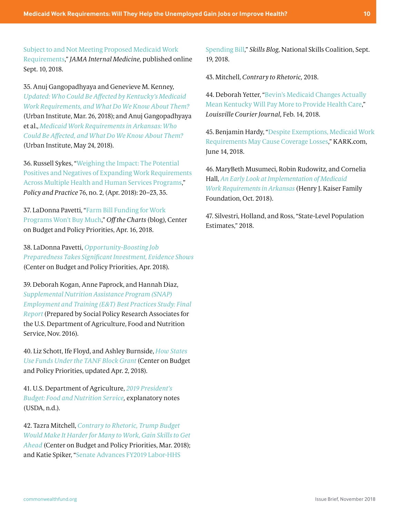<span id="page-9-0"></span>[Subject to and Not Meeting Proposed Medicaid Work](https://jamanetwork.com/journals/jamainternalmedicine/article-abstract/2701628)  [Requirements](https://jamanetwork.com/journals/jamainternalmedicine/article-abstract/2701628)," *JAMA Internal Medicine,* published online Sept. 10, 2018.

[35.](#page-4-0) Anuj Gangopadhyaya and Genevieve M. Kenney, *[Updated: Who Could Be Affected by Kentucky's Medicaid](https://www.urban.org/research/publication/updated-who-could-be-affected-kentuckys-medicaid-work-requirements-and-what-do-we-know-about-them)  [Work Requirements, and What Do We Know About Them?](https://www.urban.org/research/publication/updated-who-could-be-affected-kentuckys-medicaid-work-requirements-and-what-do-we-know-about-them)* (Urban Institute, Mar. 26, 2018); and Anuj Gangopadhyaya et al., *[Medicaid Work Requirements in Arkansas: Who](https://www.urban.org/research/publication/medicaid-work-requirements-arkansas)  [Could Be Affected, and What Do We Know About Them?](https://www.urban.org/research/publication/medicaid-work-requirements-arkansas)* (Urban Institute, May 24, 2018).

[36.](#page-4-0) Russell Sykes, "[Weighing the Impact: The Potential](https://trayinc.cld.bz/Policy-and-Practice/P-P-April-Issue-2018)  [Positives and Negatives of Expanding Work Requirements](https://trayinc.cld.bz/Policy-and-Practice/P-P-April-Issue-2018)  [Across Multiple Health and Human Services Programs](https://trayinc.cld.bz/Policy-and-Practice/P-P-April-Issue-2018)," *Policy and Practice* 76, no. 2, (Apr. 2018): 20–23, 35.

[37.](#page-5-0) LaDonna Pavetti, "[Farm Bill Funding for Work](https://www.cbpp.org/blog/farm-bill-funding-for-work-programs-wont-buy-much)  [Programs Won't Buy Much](https://www.cbpp.org/blog/farm-bill-funding-for-work-programs-wont-buy-much)," *Off the Charts* (blog), Center on Budget and Policy Priorities, Apr. 16, 2018.

[38.](#page-5-0) LaDonna Pavetti, *[Opportunity-Boosting Job](https://www.cbpp.org/research/poverty-and-inequality/opportunity-boosting-job-preparedness-takes-significant-investment)  [Preparedness Takes Significant Investment, Evidence Shows](https://www.cbpp.org/research/poverty-and-inequality/opportunity-boosting-job-preparedness-takes-significant-investment)* (Center on Budget and Policy Priorities, Apr. 2018).

[39.](#page-5-0) Deborah Kogan, Anne Paprock, and Hannah Diaz, *[Supplemental Nutrition Assistance Program \(SNAP\)](https://fns-prod.azureedge.net/sites/default/files/ops/SNAPEandTBestPractices.pdf)  [Employment and Training \(E&T\) Best Practices Study: Final](https://fns-prod.azureedge.net/sites/default/files/ops/SNAPEandTBestPractices.pdf)  [Report](https://fns-prod.azureedge.net/sites/default/files/ops/SNAPEandTBestPractices.pdf)* (Prepared by Social Policy Research Associates for the U.S. Department of Agriculture, Food and Nutrition Service, Nov. 2016).

[40.](#page-5-0) Liz Schott, Ife Floyd, and Ashley Burnside, *[How States](https://www.cbpp.org/research/family-income-support/how-states-use-funds-under-the-tanf-block-grant)  [Use Funds Under the TANF Block Grant](https://www.cbpp.org/research/family-income-support/how-states-use-funds-under-the-tanf-block-grant)* (Center on Budget and Policy Priorities, updated Apr. 2, 2018).

[41.](#page-5-0) U.S. Department of Agriculture, *[2019 President's](https://www.obpa.usda.gov/32fns2019notes.pdf)  [Budget: Food and Nutrition Service,](https://www.obpa.usda.gov/32fns2019notes.pdf)* explanatory notes (USDA, n.d.).

[42.](#page-5-0) Tazra Mitchell, *[Contrary to Rhetoric, Trump Budget](https://www.cbpp.org/research/federal-budget/contrary-to-rhetoric-trump-budget-would-make-it-harder-for-many-to-work-gain)  [Would Make It Harder for Many to Work, Gain Skills to Get](https://www.cbpp.org/research/federal-budget/contrary-to-rhetoric-trump-budget-would-make-it-harder-for-many-to-work-gain)  [Ahead](https://www.cbpp.org/research/federal-budget/contrary-to-rhetoric-trump-budget-would-make-it-harder-for-many-to-work-gain)* (Center on Budget and Policy Priorities, Mar. 2018); and Katie Spiker, "[Senate Advances FY2019 Labor-HHS](https://m.nationalskillscoalition.org/news/blog/senate-advances-fy2019-labor-hhs-spending-bill) 

[Spending Bill](https://m.nationalskillscoalition.org/news/blog/senate-advances-fy2019-labor-hhs-spending-bill)," *Skills Blog,* National Skills Coalition, Sept. 19, 2018.

[43.](#page-5-0) Mitchell, *Contrary to Rhetoric,* 2018.

[44](#page-5-0). Deborah Yetter, ["Bevin's Medicaid Changes Actually](https://www.courier-journal.com/story/news/politics/2018/02/14/kentucky-medicaid-changes-bevin-work-requriements/319384002/)  [Mean Kentucky Will Pay More to Provide Health Care](https://www.courier-journal.com/story/news/politics/2018/02/14/kentucky-medicaid-changes-bevin-work-requriements/319384002/)," *Louisville Courier Journal,* Feb. 14, 2018.

[45.](#page-5-0) Benjamin Hardy, "[Despite Exemptions, Medicaid Work](https://www.kark.com/news/health/despite-exemptions-medicaid-work-requirements-may-cause-coverage-losses/1239347531)  [Requirements May Cause Coverage Losses,](https://www.kark.com/news/health/despite-exemptions-medicaid-work-requirements-may-cause-coverage-losses/1239347531)" KARK.com, June 14, 2018.

[46.](#page-5-0) MaryBeth Musumeci, Robin Rudowitz, and Cornelia Hall, *[An Early Look at Implementation of Medicaid](http://files.kff.org/attachment/Issue-Brief-An-Early-Look-at-Implementation-of-Medicaid-Work-Requirements-in-Arkansas)  [Work Requirements in Arkansas](http://files.kff.org/attachment/Issue-Brief-An-Early-Look-at-Implementation-of-Medicaid-Work-Requirements-in-Arkansas)* (Henry J. Kaiser Family Foundation, Oct. 2018).

[47.](#page-6-0) Silvestri, Holland, and Ross, "State-Level Population Estimates," 2018.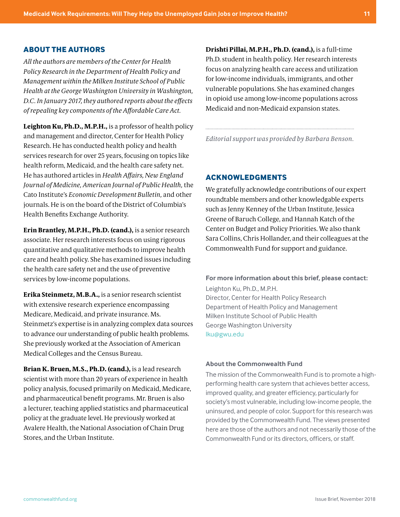#### **ABOUT THE AUTHORS**

*All the authors are members of the Center for Health Policy Research in the Department of Health Policy and Management within the Milken Institute School of Public Health at the George Washington University in Washington, D.C. In January 2017, they authored reports about the effects of repealing key components of the Affordable Care Act.*

**Leighton Ku, Ph.D., M.P.H.,** is a professor of health policy and management and director, Center for Health Policy Research. He has conducted health policy and health services research for over 25 years, focusing on topics like health reform, Medicaid, and the health care safety net. He has authored articles in *Health Affairs, New England Journal of Medicine, American Journal of Public Health,* the Cato Institute's *Economic Development Bulletin,* and other journals. He is on the board of the District of Columbia's Health Benefits Exchange Authority.

**Erin Brantley, M.P.H., Ph.D. (cand.),** is a senior research associate. Her research interests focus on using rigorous quantitative and qualitative methods to improve health care and health policy. She has examined issues including the health care safety net and the use of preventive services by low-income populations.

**Erika Steinmetz, M.B.A.,** is a senior research scientist with extensive research experience encompassing Medicare, Medicaid, and private insurance. Ms. Steinmetz's expertise is in analyzing complex data sources to advance our understanding of public health problems. She previously worked at the Association of American Medical Colleges and the Census Bureau.

**Brian K. Bruen, M.S., Ph.D. (cand.),** is a lead research scientist with more than 20 years of experience in health policy analysis, focused primarily on Medicaid, Medicare, and pharmaceutical benefit programs. Mr. Bruen is also a lecturer, teaching applied statistics and pharmaceutical policy at the graduate level. He previously worked at Avalere Health, the National Association of Chain Drug Stores, and the Urban Institute.

**Drishti Pillai, M.P.H., Ph.D. (cand.),** is a full-time Ph.D. student in health policy. Her research interests focus on analyzing health care access and utilization for low-income individuals, immigrants, and other vulnerable populations. She has examined changes in opioid use among low-income populations across Medicaid and non-Medicaid expansion states.

*Editorial support was provided by Barbara Benson.*

#### **ACKNOWLEDGMENTS**

We gratefully acknowledge contributions of our expert roundtable members and other knowledgable experts such as Jenny Kenney of the Urban Institute, Jessica Greene of Baruch College, and Hannah Katch of the Center on Budget and Policy Priorities. We also thank Sara Collins, Chris Hollander, and their colleagues at the Commonwealth Fund for support and guidance.

**For more information about this brief, please contact:** Leighton Ku, Ph.D., M.P.H. Director, Center for Health Policy Research Department of Health Policy and Management Milken Institute School of Public Health George Washington University lku@gwu.edu

#### **About the Commonwealth Fund**

The mission of the Commonwealth Fund is to promote a highperforming health care system that achieves better access, improved quality, and greater efficiency, particularly for society's most vulnerable, including low-income people, the uninsured, and people of color. Support for this research was provided by the Commonwealth Fund. The views presented here are those of the authors and not necessarily those of the Commonwealth Fund or its directors, officers, or staff.